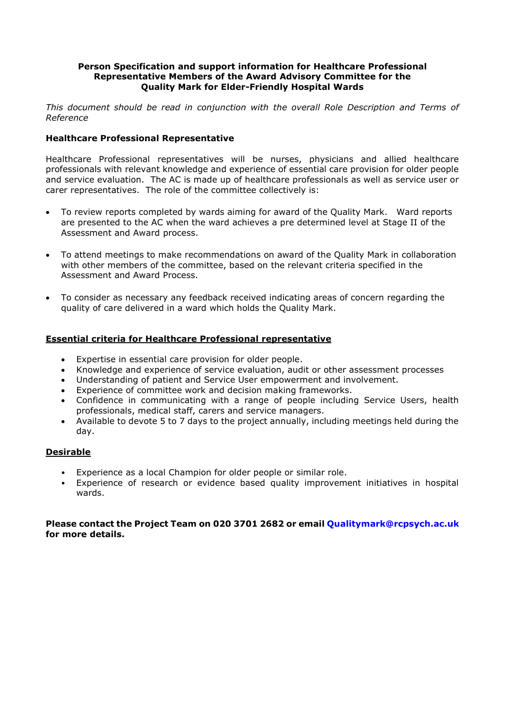## **Person Specification and support information for Healthcare Professional Representative Members of the Award Advisory Committee for the Quality Mark for Elder-Friendly Hospital Wards**

*This document should be read in conjunction with the overall Role Description and Terms of Reference*

## **Healthcare Professional Representative**

Healthcare Professional representatives will be nurses, physicians and allied healthcare professionals with relevant knowledge and experience of essential care provision for older people and service evaluation. The AC is made up of healthcare professionals as well as service user or carer representatives. The role of the committee collectively is:

- To review reports completed by wards aiming for award of the Quality Mark. Ward reports are presented to the AC when the ward achieves a pre determined level at Stage II of the Assessment and Award process.
- To attend meetings to make recommendations on award of the Quality Mark in collaboration with other members of the committee, based on the relevant criteria specified in the Assessment and Award Process.
- To consider as necessary any feedback received indicating areas of concern regarding the quality of care delivered in a ward which holds the Quality Mark.

## **Essential criteria for Healthcare Professional representative**

- Expertise in essential care provision for older people.
- Knowledge and experience of service evaluation, audit or other assessment processes
- Understanding of patient and Service User empowerment and involvement.
- Experience of committee work and decision making frameworks.
- Confidence in communicating with a range of people including Service Users, health professionals, medical staff, carers and service managers.
- Available to devote 5 to 7 days to the project annually, including meetings held during the day.

## **Desirable**

- Experience as a local Champion for older people or similar role.
- Experience of research or evidence based quality improvement initiatives in hospital wards.

### **Please contact the Project Team on 020 3701 2682 or email Qualitymark@rcpsych.ac.uk for more details.**